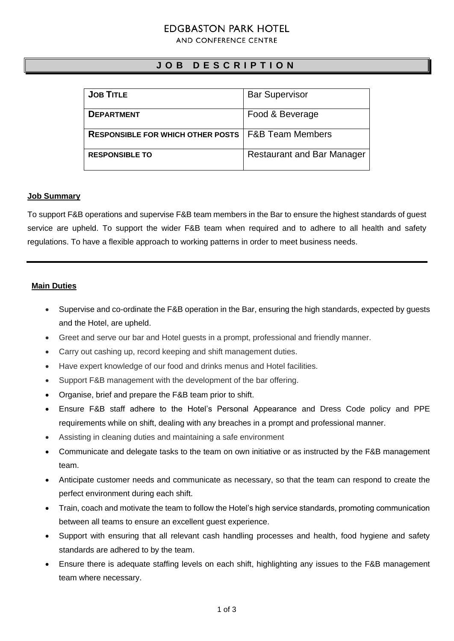# **EDGBASTON PARK HOTEL**

AND CONFERENCE CENTRE

## **J O B D E S C R I P T I O N**

| <b>JOB TITLE</b>                         | <b>Bar Supervisor</b>             |
|------------------------------------------|-----------------------------------|
|                                          |                                   |
|                                          |                                   |
| <b>DEPARTMENT</b>                        | Food & Beverage                   |
|                                          |                                   |
|                                          |                                   |
| <b>RESPONSIBLE FOR WHICH OTHER POSTS</b> | <b>F&amp;B Team Members</b>       |
|                                          |                                   |
|                                          |                                   |
| <b>RESPONSIBLE TO</b>                    | <b>Restaurant and Bar Manager</b> |
|                                          |                                   |
|                                          |                                   |

### **Job Summary**

To support F&B operations and supervise F&B team members in the Bar to ensure the highest standards of guest service are upheld. To support the wider F&B team when required and to adhere to all health and safety regulations. To have a flexible approach to working patterns in order to meet business needs.

### **Main Duties**

- Supervise and co-ordinate the F&B operation in the Bar, ensuring the high standards, expected by guests and the Hotel, are upheld.
- Greet and serve our bar and Hotel guests in a prompt, professional and friendly manner.
- Carry out cashing up, record keeping and shift management duties.
- Have expert knowledge of our food and drinks menus and Hotel facilities.
- Support F&B management with the development of the bar offering.
- Organise, brief and prepare the F&B team prior to shift.
- Ensure F&B staff adhere to the Hotel's Personal Appearance and Dress Code policy and PPE requirements while on shift, dealing with any breaches in a prompt and professional manner.
- Assisting in cleaning duties and maintaining a safe environment
- Communicate and delegate tasks to the team on own initiative or as instructed by the F&B management team.
- Anticipate customer needs and communicate as necessary, so that the team can respond to create the perfect environment during each shift.
- Train, coach and motivate the team to follow the Hotel's high service standards, promoting communication between all teams to ensure an excellent guest experience.
- Support with ensuring that all relevant cash handling processes and health, food hygiene and safety standards are adhered to by the team.
- Ensure there is adequate staffing levels on each shift, highlighting any issues to the F&B management team where necessary.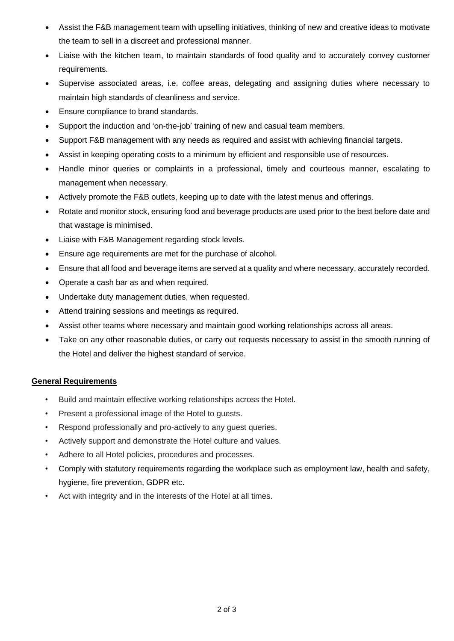- Assist the F&B management team with upselling initiatives, thinking of new and creative ideas to motivate the team to sell in a discreet and professional manner.
- Liaise with the kitchen team, to maintain standards of food quality and to accurately convey customer requirements.
- Supervise associated areas, i.e. coffee areas, delegating and assigning duties where necessary to maintain high standards of cleanliness and service.
- Ensure compliance to brand standards.
- Support the induction and 'on-the-job' training of new and casual team members.
- Support F&B management with any needs as required and assist with achieving financial targets.
- Assist in keeping operating costs to a minimum by efficient and responsible use of resources.
- Handle minor queries or complaints in a professional, timely and courteous manner, escalating to management when necessary.
- Actively promote the F&B outlets, keeping up to date with the latest menus and offerings.
- Rotate and monitor stock, ensuring food and beverage products are used prior to the best before date and that wastage is minimised.
- Liaise with F&B Management regarding stock levels.
- Ensure age requirements are met for the purchase of alcohol.
- Ensure that all food and beverage items are served at a quality and where necessary, accurately recorded.
- Operate a cash bar as and when required.
- Undertake duty management duties, when requested.
- Attend training sessions and meetings as required.
- Assist other teams where necessary and maintain good working relationships across all areas.
- Take on any other reasonable duties, or carry out requests necessary to assist in the smooth running of the Hotel and deliver the highest standard of service.

### **General Requirements**

- Build and maintain effective working relationships across the Hotel.
- Present a professional image of the Hotel to guests.
- Respond professionally and pro-actively to any guest queries.
- Actively support and demonstrate the Hotel culture and values.
- Adhere to all Hotel policies, procedures and processes.
- Comply with statutory requirements regarding the workplace such as employment law, health and safety, hygiene, fire prevention, GDPR etc.
- Act with integrity and in the interests of the Hotel at all times.